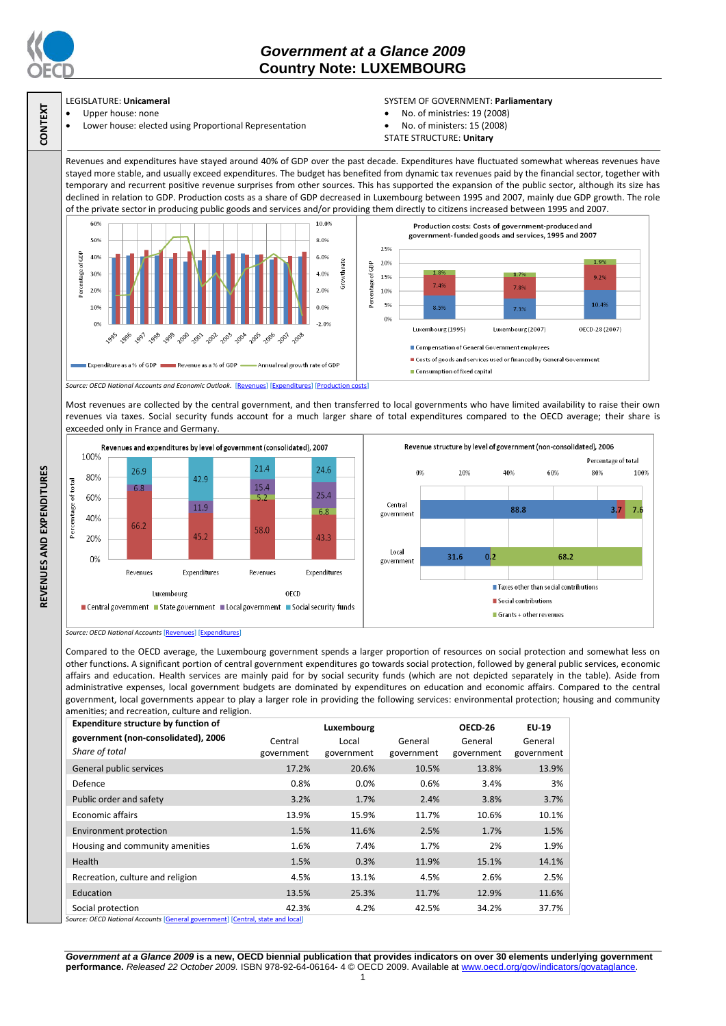

**CONTEXT**

**REVENUES AND EXPENDITURES**

REVENUES AND EXPENDITURES

# *Government at a Glance 2009*  **Country Note: LUXEMBOURG**

### LEGISLATURE: **Unicameral**

- Upper house: none
- Lower house: elected using Proportional Representation

### SYSTEM OF GOVERNMENT: **Parliamentary**

- No. of ministries: 19 (2008)
- No. of ministers: 15 (2008)
- STATE STRUCTURE: **Unitary**

Revenues and expenditures have stayed around 40% of GDP over the past decade. Expenditures have fluctuated somewhat whereas revenues have stayed more stable, and usually exceed expenditures. The budget has benefited from dynamic tax revenues paid by the financial sector, together with temporary and recurrent positive revenue surprises from other sources. This has supported the expansion of the public sector, although its size has declined in relation to GDP. Production costs as a share of GDP decreased in Luxembourg between 1995 and 2007, mainly due GDP growth. The role of the private sector in producing public goods and services and/or providing them directly to citizens increased between 1995 and 2007.



Most revenues are collected by the central government, and then transferred to local governments who have limited availability to raise their own revenues via taxes. Social security funds account for a much larger share of total expenditures compared to the OECD average; their share is exceeded only in France and Germany.



*Source: OECD National Accounts* [\[Revenues\]](http://dx.doi.org/10.1787/723418413857) [\[Expenditures\]](http://dx.doi.org/10.1787/723508524025)

Compared to the OECD average, the Luxembourg government spends a larger proportion of resources on social protection and somewhat less on other functions. A significant portion of central government expenditures go towards social protection, followed by general public services, economic affairs and education. Health services are mainly paid for by social security funds (which are not depicted separately in the table). Aside from administrative expenses, local government budgets are dominated by expenditures on education and economic affairs. Compared to the central government, local governments appear to play a larger role in providing the following services: environmental protection; housing and community amenities; and recreation, culture and religion.

| <b>Expenditure structure by function of</b>                                                                                                                                                                                                                                                                                                                                        |            | Luxembourg |            | OECD-26    | EU-19      |
|------------------------------------------------------------------------------------------------------------------------------------------------------------------------------------------------------------------------------------------------------------------------------------------------------------------------------------------------------------------------------------|------------|------------|------------|------------|------------|
| government (non-consolidated), 2006                                                                                                                                                                                                                                                                                                                                                | Central    | Local      | General    | General    | General    |
| Share of total                                                                                                                                                                                                                                                                                                                                                                     | government | government | government | government | government |
| General public services                                                                                                                                                                                                                                                                                                                                                            | 17.2%      | 20.6%      | 10.5%      | 13.8%      | 13.9%      |
| Defence                                                                                                                                                                                                                                                                                                                                                                            | 0.8%       | 0.0%       | 0.6%       | 3.4%       | 3%         |
| Public order and safety                                                                                                                                                                                                                                                                                                                                                            | 3.2%       | 1.7%       | 2.4%       | 3.8%       | 3.7%       |
| <b>Economic affairs</b>                                                                                                                                                                                                                                                                                                                                                            | 13.9%      | 15.9%      | 11.7%      | 10.6%      | 10.1%      |
| Environment protection                                                                                                                                                                                                                                                                                                                                                             | 1.5%       | 11.6%      | 2.5%       | 1.7%       | 1.5%       |
| Housing and community amenities                                                                                                                                                                                                                                                                                                                                                    | 1.6%       | 7.4%       | 1.7%       | 2%         | 1.9%       |
| Health                                                                                                                                                                                                                                                                                                                                                                             | 1.5%       | 0.3%       | 11.9%      | 15.1%      | 14.1%      |
| Recreation, culture and religion                                                                                                                                                                                                                                                                                                                                                   | 4.5%       | 13.1%      | 4.5%       | 2.6%       | 2.5%       |
| Education                                                                                                                                                                                                                                                                                                                                                                          | 13.5%      | 25.3%      | 11.7%      | 12.9%      | 11.6%      |
| Social protection<br>$\alpha$ = $\alpha$ , $\alpha$ , $\alpha$ , $\alpha$ , $\alpha$ , $\alpha$ , $\alpha$ , $\alpha$ , $\alpha$ , $\alpha$ , $\alpha$ , $\alpha$ , $\alpha$ , $\alpha$ , $\alpha$ , $\alpha$ , $\alpha$ , $\alpha$ , $\alpha$ , $\alpha$ , $\alpha$ , $\alpha$ , $\alpha$ , $\alpha$ , $\alpha$ , $\alpha$ , $\alpha$ , $\alpha$ , $\alpha$ , $\alpha$ , $\alpha$ | 42.3%      | 4.2%       | 42.5%      | 34.2%      | 37.7%      |

re: OECD National Accounts **[**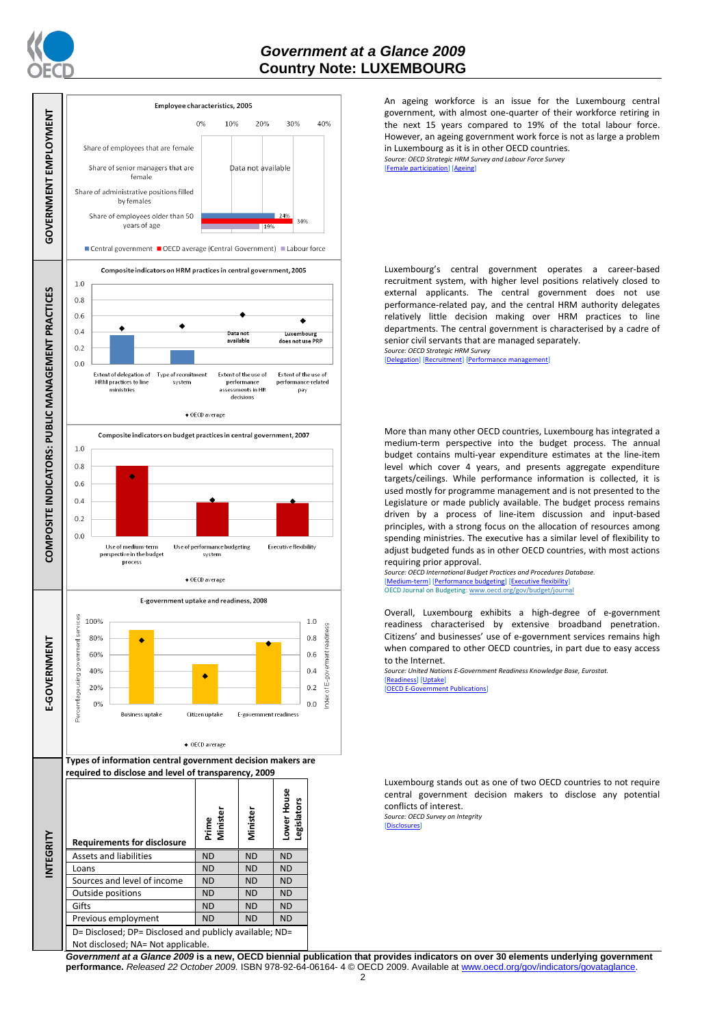

## *Government at a Glance 2009*  **Country Note: LUXEMBOURG**



An ageing workforce is an issue for the Luxembourg central government, with almost one-quarter of their workforce retiring in the next 15 years compared to 19% of the total labour force. However, an ageing government work force is not as large a problem in Luxembourg as it is in other OECD countries.

*Source: OECD Strategic HRM Survey and Labour Force Survey* [\[Female participation\]](http://dx.doi.org/10.1787/723642841533) [\[Ageing\]](http://dx.doi.org/10.1787/723656070327)

Luxembourg's central government operates a career-based recruitment system, with higher level positions relatively closed to external applicants. The central government does not use performance-related pay, and the central HRM authority delegates relatively little decision making over HRM practices to line departments. The central government is characterised by a cadre of senior civil servants that are managed separately.

*Source: OECD Strategic HRM Survey*  [\[Delegation\]](http://dx.doi.org/10.1787/723663744332) [\[Recruitment\]](http://dx.doi.org/10.1787/723668744361) [Perform

More than many other OECD countries, Luxembourg has integrated a medium-term perspective into the budget process. The annual budget contains multi-year expenditure estimates at the line-item level which cover 4 years, and presents aggregate expenditure targets/ceilings. While performance information is collected, it is used mostly for programme management and is not presented to the Legislature or made publicly available. The budget process remains driven by a process of line-item discussion and input-based principles, with a strong focus on the allocation of resources among spending ministries. The executive has a similar level of flexibility to adjust budgeted funds as in other OECD countries, with most actions requiring prior approval.

*Source: OECD International Budget Practices and Procedures Database.* [\[Medium-term\]](http://dx.doi.org/10.1787/723856770865) [\[Performance budgeting\]](http://dx.doi.org/10.1787/723863437686) [\[Executive flexibility\]](http://dx.doi.org/10.1787/723876713213) OECD Journal on Budgeting[: www.oecd.org/gov/budget/journal](http://www.oecd.org/gov/budget/journal)

Overall, Luxembourg exhibits a high-degree of e-government readiness characterised by extensive broadband penetration. Citizens' and businesses' use of e-government services remains high when compared to other OECD countries, in part due to easy access to the Internet.

*Source: United Nations E-Government Readiness Knowledge Base, Eurostat.* [\[Readiness\]](http://dx.doi.org/10.1787/724248078408) [\[Uptake\]](http://dx.doi.org/10.1787/724264662272)

**[\[OECD E-Government Publications\]](http://www.oecd.org/document/40/0,3343,en_2649_34129_41342248_1_1_1_1,00.html)** 

Luxembourg stands out as one of two OECD countries to not require central government decision makers to disclose any potential conflicts of interest.

*Source: OECD Survey on Integrity* [\[Disclosures\]](http://dx.doi.org/10.1787/724123642681)

*Government at a Glance 2009* **is a new, OECD biennial publication that provides indicators on over 30 elements underlying government performance.** *Released 22 October 2009.* ISBN 978-92-64-06164- 4 © OECD 2009. Available at www.oecd.org/gov/indicators/govataglance.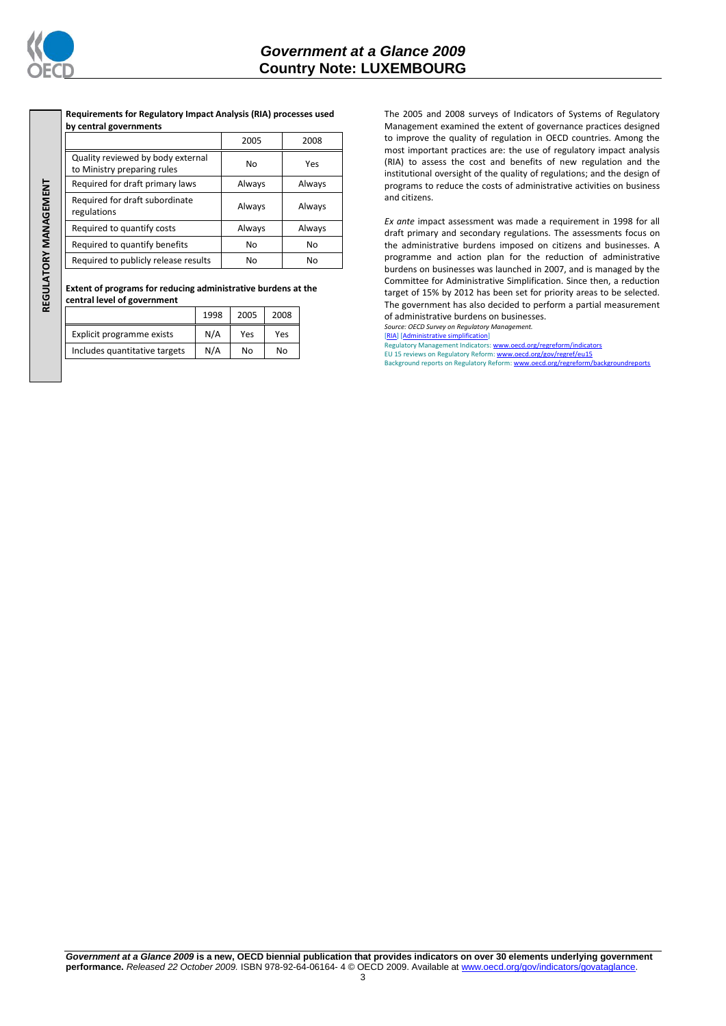

REGULATORY MANAGEMENT **REGULATORY MANAGEMENT**

**Requirements for Regulatory Impact Analysis (RIA) processes used by central governments**

|                                                                  | 2005   | 2008   |  |
|------------------------------------------------------------------|--------|--------|--|
| Quality reviewed by body external<br>to Ministry preparing rules | No     | Yes    |  |
| Required for draft primary laws                                  | Always | Always |  |
| Required for draft subordinate<br>regulations                    | Always | Always |  |
| Required to quantify costs                                       | Always | Always |  |
| Required to quantify benefits                                    | No     | No     |  |
| Required to publicly release results                             | No     | No     |  |

**Extent of programs for reducing administrative burdens at the central level of government**

|                               | 1998 | 2005 | 2008 |
|-------------------------------|------|------|------|
| Explicit programme exists     | N/A  | Yes  | Yes  |
| Includes quantitative targets | N/A  | No   | No   |

The 2005 and 2008 surveys of Indicators of Systems of Regulatory Management examined the extent of governance practices designed to improve the quality of regulation in OECD countries. Among the most important practices are: the use of regulatory impact analysis (RIA) to assess the cost and benefits of new regulation and the institutional oversight of the quality of regulations; and the design of programs to reduce the costs of administrative activities on business and citizens.

*Ex ante* impact assessment was made a requirement in 1998 for all draft primary and secondary regulations. The assessments focus on the administrative burdens imposed on citizens and businesses. A programme and action plan for the reduction of administrative burdens on businesses was launched in 2007, and is managed by the Committee for Administrative Simplification. Since then, a reduction target of 15% by 2012 has been set for priority areas to be selected. The government has also decided to perform a partial measurement of administrative burdens on businesses.

*Source: OECD Survey on Regulatory Management.*

[\[RIA\]](http://dx.doi.org/10.1787/724045144354) [\[Administrative simplification\]](http://dx.doi.org/10.1787/724058851054) Regulatory Management Indicators[: www.oecd.org/regreform/indicators](http://www.oecd.org/regreform/indicators)

EU 15 reviews on Regulatory Reform[: www.oecd.org/gov/regref/eu15](http://www.oecd.org/gov/regref/eu15)<br>Background reports on Regulatory Reform[: www.oecd.org/regreform/backgroundreports](http://www.oecd.org/regreform/backgroundreports)